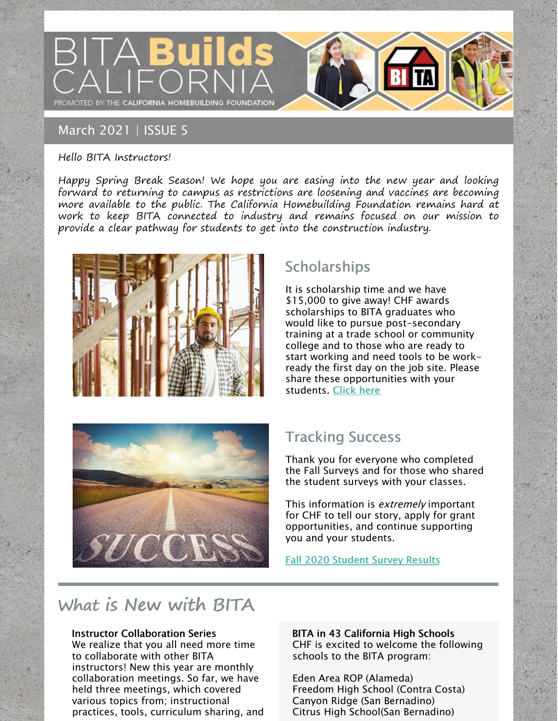

### March 2021 | ISSUE 5

#### Hello BITA Instructors!

Happy Spring Break Season! We hope you are easing into the new year and looking forward to returning to campus as restrictions are loosening and vaccines are becoming more available to the public. The California Homebuilding Foundation remains hard at work to keep BITA connected to industry and remains focused on our mission to provide a clear pathway for students to get into the construction industry.



# **Scholarships**

It is scholarship time and we have \$15,000 to give away! CHF awards scholarships to BITA graduates who would like to pursue post-secondary training at a trade school or community college and to those who are ready to start working and need tools to be workready the first day on the job site. Please share these opportunities with your students. [Click](https://www.mychf.org/scholarship-recipients-and-success-stories/) here



# Tracking Success

Thank you for everyone who completed the Fall Surveys and for those who shared the student surveys with your classes.

This information is *extremely* important for CHF to tell our story, apply for grant opportunities, and continue supporting you and your students.

### Fall 2020 [Student](https://app.upmetrics.com/view/ckiqh8flzk7yt07309s4e7h42) Survey Results

# What is New with BITA

#### Instructor Collaboration Series

We realize that you all need more time to collaborate with other BITA instructors! New this year are monthly collaboration meetings. So far, we have held three meetings, which covered various topics from; instructional practices, tools, curriculum sharing, and BITA in 43 California High Schools CHF is excited to welcome the following schools to the BITA program:

Eden Area ROP (Alameda) Freedom High School (Contra Costa) Canyon Ridge (San Bernadino) Citrus High School(San Bernadino)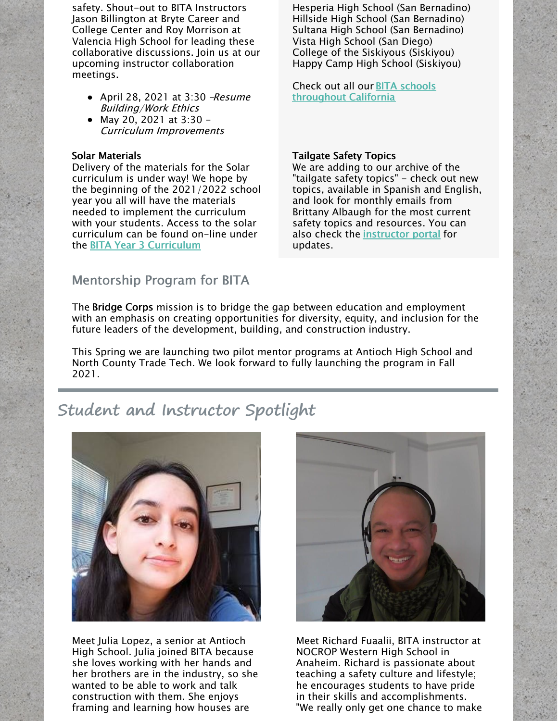safety. Shout-out to BITA Instructors Jason Billington at Bryte Career and College Center and Roy Morrison at Valencia High School for leading these collaborative discussions. Join us at our upcoming instructor collaboration meetings.

- April 28, 2021 at 3:30 -Resume Building/Work Ethics
- May 20, 2021 at  $3:30 -$ Curriculum Improvements

#### Solar Materials

Delivery of the materials for the Solar curriculum is under way! We hope by the beginning of the 2021/2022 school year you all will have the materials needed to implement the curriculum with your students. Access to the solar curriculum can be found on-line under the BITA Year 3 [Curriculum](https://www.mychf.org/year-three-energy-efficiency-and-infrastructure-of-the-future/)

Hesperia High School (San Bernadino) Hillside High School (San Bernadino) Sultana High School (San Bernadino) Vista High School (San Diego) College of the Siskiyous (Siskiyou) Happy Camp High School (Siskiyou)

Check out all our BITA schools [throughout](https://growthzonesitesprod.azureedge.net/wp-content/uploads/sites/867/2021/03/2021-BITA-Schools-Map-03-23-2021.pdf) California

#### Tailgate Safety Topics

We are adding to our archive of the "tailgate safety topics" - check out new topics, available in Spanish and English, and look for monthly emails from Brittany Albaugh for the most current safety topics and resources. You can also check the [instructor](https://www.mychf.org/instructor-portal/) portal for updates.

### Mentorship Program for BITA

The Bridge Corps mission is to bridge the gap between education and employment with an emphasis on creating opportunities for diversity, equity, and inclusion for the future leaders of the development, building, and construction industry.

This Spring we are launching two pilot mentor programs at Antioch High School and North County Trade Tech. We look forward to fully launching the program in Fall 2021.

# Student and Instructor Spotlight



Meet Julia Lopez, a senior at Antioch High School. Julia joined BITA because she loves working with her hands and her brothers are in the industry, so she wanted to be able to work and talk construction with them. She enjoys framing and learning how houses are



Meet Richard Fuaalii, BITA instructor at NOCROP Western High School in Anaheim. Richard is passionate about teaching a safety culture and lifestyle; he encourages students to have pride in their skills and accomplishments. "We really only get one chance to make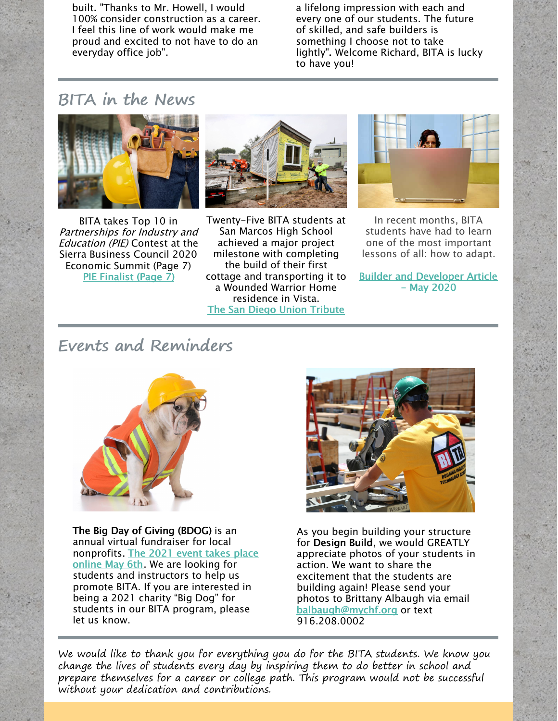built. "Thanks to Mr. Howell, I would 100% consider construction as a career. I feel this line of work would make me proud and excited to not have to do an everyday office job".

a lifelong impression with each and every one of our students. The future of skilled, and safe builders is something I choose not to take lightly". Welcome Richard, BITA is lucky to have you!

## BITA in the News



BITA takes Top 10 in Partnerships for Industry and Education (PIE) Contest at the Sierra Business Council 2020 Economic Summit (Page 7) PIE [Finalist](https://growthzonesitesprod.azureedge.net/wp-content/uploads/sites/867/2020/12/2020-PIE-booklet-FNL-large.pdf) (Page 7)



Twenty-Five BITA students at San Marcos High School achieved a major project milestone with completing the build of their first cottage and transporting it to a Wounded Warrior Home residence in Vista. The San Diego Union [Tribute](https://www.sandiegouniontribune.com/news/homelessness/story/2021-02-12/student-built-cottage-arrives-in-vista-to-help-veterans)



In recent months, BITA students have had to learn one of the most important lessons of all: how to adapt.

Builder and [Developer](https://bdmag.com/construction-students-adapt-to-distance-training/) Article - May 2020

## Events and Reminders



The Big Day of Giving (BDOG) is an annual virtual fundraiser for local [nonprofits.](https://www.bigdayofgiving.org/CAHomebuildingFoundation) The 2021 event takes place online May 6th. We are looking for students and instructors to help us promote BITA. If you are interested in being a 2021 charity "Big Dog" for students in our BITA program, please let us know.



As you begin building your structure for Design Build, we would GREATLY appreciate photos of your students in action. We want to share the excitement that the students are building again! Please send your photos to Brittany Albaugh via email [balbaugh@mychf.org](mailto:balbaugh@mychf.org) or text 916.208.0002

We would like to thank you for everything you do for the BITA students. We know you change the lives of students every day by inspiring them to do better in school and prepare themselves for a career or college path. This program would not be successful without your dedication and contributions.